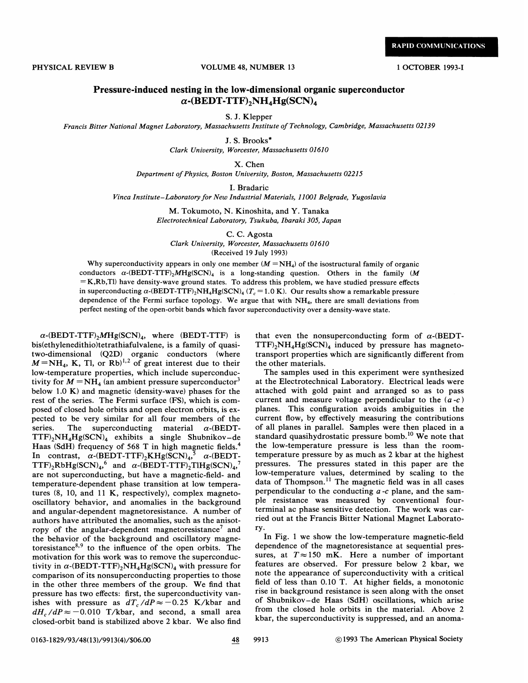**RAPID COMMUNICATIONS** 

## PHYSICAL REVIEW B VOLUME 48, NUMBER 13 1 OCTOBER 1993-I

## Pressure-induced nesting in the low-dimensional organic superconductor  $\alpha$ -(BEDT-TTF)<sub>2</sub>NH<sub>4</sub>Hg(SCN)<sub>4</sub>

S.J. Klepper

Francis Bitter National Magnet Laboratory, Massachusetts Institute of Technology, Cambridge, Massachusetts 02139

J. S. Brooks\* Clark University, Worcester, Massachusetts 01610

X. Chen

Department of Physics, Boston University, Boston, Massachusetts 02215

I. Bradaric

Vinca Institute-Laboratory for New Industrial Materials, 11001 Belgrade, Yugoslavia

M. Tokumoto, N. Kinoshita, and Y. Tanaka Electrotechnical Laboratory, Tsukuba, Ibaraki 305, Japan

C. C. Agosta Clark University, Worcester, Massachusetts 01610

(Received 19 July 1993)

Why superconductivity appears in only one member  $(M = NH<sub>4</sub>)$  of the isostructural family of organic conductors  $\alpha$ -(BEDT-TTF)<sub>2</sub>MHg(SCN)<sub>4</sub> is a long-standing question. Others in the family (M  $=$  K,Rb,Tl) have density-wave ground states. To address this problem, we have studied pressure effects in superconducting  $\alpha$ -(BEDT-TTF)<sub>2</sub>NH<sub>4</sub>Hg(SCN)<sub>4</sub> (T<sub>c</sub> = 1.0 K). Our results show a remarkable pressure dependence of the Fermi surface topology. We argue that with  $NH<sub>4</sub>$ , there are small deviations from perfect nesting of the open-orbit bands which favor superconductivity over a density-wave state.

 $\alpha$ -(BEDT-TTF)<sub>2</sub>MHg(SCN)<sub>4</sub>, where (BEDT-TTF) is bis(ethylenedithio)tetrathiafulvalene, is a family of quasitwo-dimensional (Q2D) organic conductors (where  $M = NH_4$ , K, Tl, or Rb)<sup>1,2</sup> of great interest due to their low-temperature properties, which include superconductivity for  $M = NH<sub>4</sub>$  (an ambient pressure superconductor<sup>3</sup> below 1.0 K) and magnetic (density-wave) phases for the rest of the series. The Fermi surface (FS), which is composed of closed hole orbits and open electron orbits, is expected to be very similar for all four members of the series. The superconducting material  $\alpha$ -(BEDT- $TTF)_2NH_4Hg(SCN)_4$  exhibits a single Shubnikov-de Haas (SdH) frequency of 568 T in high magnetic fields. In contrast,  $\alpha$ -(BEDT-TTF)<sub>2</sub>KHg(SCN)<sub>4</sub>,<sup>5</sup>  $\alpha$ -(BEDT-TTF)<sub>2</sub>RbHg(SCN)<sub>4</sub>,<sup>6</sup> and  $\alpha$ -(BEDT-TTF)<sub>2</sub>TlHg(SCN)<sub>4</sub>,<sup>7</sup> are not superconducting, but have a magnetic-field- and temperature-dependent phase transition at low temperatures (8, 10, and 11 K, respectively), complex magnetooscillatory behavior, and anomalies in the background and angular-dependent magnetoresistance. A number of authors have attributed the anomalies, such as the anisotropy of the angular-dependent magnetoresistance<sup>7</sup> and the behavior of the background and oscillatory magnetoresistance<sup>8,9</sup> to the influence of the open orbits. The motivation for this work was to remove the superconductivity in  $\alpha$ -(BEDT-TTF)<sub>2</sub>NH<sub>4</sub>Hg(SCN)<sub>4</sub> with pressure for comparison of its nonsuperconducting properties to those in the other three members of the group. We find that pressure has two effects: first, the superconductivity vanishes with pressure as  $dT_c/dP \approx -0.25$  K/kbar and  $dH_c/dP \approx -0.010$  T/kbar, and second, a small area closed-orbit band is stabilized above 2 kbar. We also find

that even the nonsuperconducting form of  $\alpha$ -(BEDT- $TTF)_2NH_4Hg(SCN)_4$  induced by pressure has magnetotransport properties which are significantly different from the other materials.

The samples used in this experiment were synthesized at the Electrotechnical Laboratory. Electrical leads were attached with gold paint and arranged so as to pass current and measure voltage perpendicular to the  $(a-c)$ planes. This configuration avoids ambiguities in the current How, by effectively measuring the contributions of all planes in parallel. Samples were then placed in a standard quasihydrostatic pressure bomb.<sup>10</sup> We note that the low-temperature pressure is less than the roomtemperature pressure by as much as 2 kbar at the highest pressures. The pressures stated in this paper are the low-temperature values, determined by scaling to the ow-temperature values, determined by scaling to the lata of Thompson.<sup>11</sup> The magnetic field was in all cases perpendicular to the conducting  $a - c$  plane, and the sample resistance was measured by conventional fourterminal ac phase sensitive detection. The work was carried out at the Francis Bitter National Magnet Laboratory.

In Fig. <sup>1</sup> we show the low-temperature magnetic-field dependence of the magnetoresistance at sequential pressures, at  $T \approx 150$  mK. Here a number of important features are observed. For pressure below 2 kbar, we note the appearance of superconductivity with a critical field of less than 0.10 T. At higher fields, a monotonic rise in background resistance is seen along with the onset of Shubnikov —de Haas (SdH) oscillations, which arise from the closed hole orbits in the material. Above 2 kbar, the superconductivity is suppressed, and an anoma-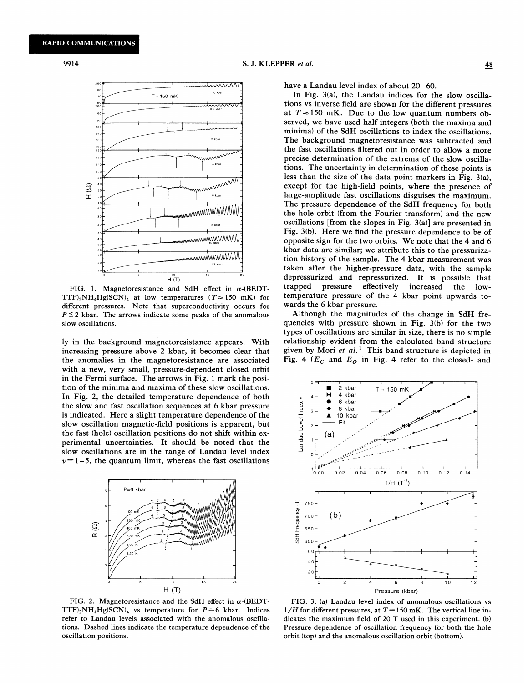

FIG. 1. Magnetoresistance and SdH effect in  $\alpha$ -(BEDT-TTF)<sub>2</sub>NH<sub>4</sub>Hg(SCN)<sub>4</sub> at low temperatures ( $T \approx 150$  mK) for different pressures. Note that superconductivity occurs for  $P \leq 2$  kbar. The arrows indicate some peaks of the anomalous slow oscillations.

ly in the background magnetoresistance appears. With increasing pressure above 2 kbar, it becomes clear that the anomalies in the magnetoresistance are associated with a new, very small, pressure-dependent closed orbit in the Fermi surface. The arrows in Fig. <sup>1</sup> mark the position of the minima and maxima of these slow oscillations. In Fig. 2, the detailed temperature dependence of both the slow and fast oscillation sequences at 6 kbar pressure is indicated. Here a slight temperature dependence of the slow oscillation magnetic-field positions is apparent, but the fast (hole) oscillation positions do not shift within experimental uncertainties. It should be noted that the slow oscillations are in the range of Landau level index  $v=1-5$ , the quantum limit, whereas the fast oscillations



FIG. 2. Magnetoresistance and the SdH effect in  $\alpha$ -(BEDT-TTF)<sub>2</sub>NH<sub>4</sub>Hg(SCN)<sub>4</sub> vs temperature for  $P=6$  kbar. Indices refer to Landau levels associated with the anomalous oscillations. Dashed lines indicate the temperature dependence of the oscillation positions.

have a Landau level index of about 20—60.

In Fig. 3(a), the Landau indices for the slow oscillations vs inverse field are shown for the different pressures at  $T \approx 150$  mK. Due to the low quantum numbers observed, we have used half integers (both the maxima and minima) of the SdH oscillations to index the oscillations. The background magnetoresistance was subtracted and the fast oscillations filtered out in order to allow a more precise determination of the extrema of the slow oscillations. The uncertainty in determination of these points is less than the size of the data point markers in Fig. 3(a), except for the high-field points, where the presence of large-amplitude fast oscillations disguises the maximum. The pressure dependence of the SdH frequency for both the hole orbit (from the Fourier transform) and the new oscillations [from the slopes in Fig. 3(a)] are presented in Fig. 3(b). Here we find the pressure dependence to be of kbar data are similar; we attribute this to the pressurizaopposite sign for the two orbits. We note that the 4 and 6 tion history of the sample. The 4 kbar measurement was taken after the higher-pressure data, with the sample depressurized and repressurized. It is possible that trapped pressure effectively increased the lowtemperature pressure of the 4 kbar point upwards towards the 6 kbar pressure.

Although the magnitudes of the change in SdH frequencies with pressure shown in Fig. 3(b) for the two types of oscillations are similar in size, there is no simple relationship evident from the calculated band structure given by Mori et  $al.$ <sup>1</sup> This band structure is depicted in Fig. 4 ( $E_C$  and  $E_O$  in Fig. 4 refer to the closed- and



FIG. 3. (a) Landau level index of anomalous oscillations vs  $1/H$  for different pressures, at  $T=150$  mK. The vertical line indicates the maximum field of 20 T used in this experiment. (b) Pressure dependence of oscillation frequency for both the hole orbit (top) and the anomalous oscillation orbit (bottom).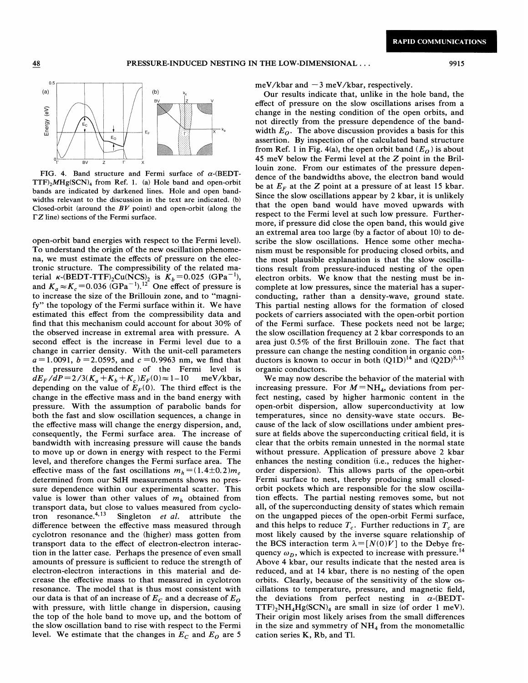

FIG. 4. Band structure and Fermi surface of  $\alpha$ -(BEDT- $TTF$ <sub>2</sub>MHg(SCN)<sub>4</sub> from Ref. 1. (a) Hole band and open-orbit bands are indicated by darkened lines. Hole and open bandwidths relevant to the discussion in the text are indicated. (b) Closed-orbit (around the  $BV$  point) and open-orbit (along the  $\Gamma Z$  line) sections of the Fermi surface.

open-orbit band energies with respect to the Fermi level). To understand the origin of the new oscillation phenomena, we must estimate the effects of pressure on the electronic structure. The compressibility of the related material  $\kappa$ -(BEDT-TTF)<sub>2</sub>Cu(NCS)<sub>2</sub> is  $K_b$ =0.025 (GPa<sup>-1</sup>), and  $K_a \approx K_c = 0.036$  (GPa<sup>-1</sup>).<sup>12</sup> One effect of pressure is to increase the size of the Brillouin zone, and to "magnify" the topology of the Fermi surface within it. We have estimated this effect from the compressibility data and find that this mechanism could account for about 30% of the observed increase in extremal area with pressure. A second effect is the increase in Fermi level due to a change in carrier density. With the unit-cell parameters  $a = 1.0091$ ,  $b = 2.0595$ , and  $c = 0.9963$  nm, we find that the pressure dependence of the Fermi level is  $dE_F/dP = 2/3(K_a + K_b + K_c)E_F(0) \approx 1-10$  meV/kbar, depending on the value of  $E_F(0)$ . The third effect is the change in the effective mass and in the band energy with pressure. With the assumption of parabolic bands for both the fast and slow oscillation sequences, a change in the effective mass will change the energy dispersion, and, consequently, the Fermi surface area. The increase of bandwidth with increasing pressure will cause the bands to move up or down in energy with respect to the Fermi level, and therefore changes the Fermi surface area. The effective mass of the fast oscillations  $m_h = (1.4 \pm 0.2) m_e$ determined from our SdH measurements shows no pressure dependence within our experimental scatter. This value is lower than other values of  $m<sub>h</sub>$  obtained from transport data, but close to values measured from cyclotron  $resonance.<sup>4,13</sup>$ Singleton et al. attribute the difference between the effective mass measured through cyclotron resonance and the (higher) mass gotten from transport data to the effect of electron-electron interaction in the latter case. Perhaps the presence of even small amounts of pressure is sufficient to reduce the strength of electron-electron interactions in this material and decrease the effective mass to that measured in cyclotron resonance. The model that is thus most consistent with our data is that of an increase of  $E_c$  and a decrease of  $E_o$ with pressure, with little change in dispersion, causing the top of the hole band to move up, and the bottom of the slow oscillation band to rise with respect to the Fermi level. We estimate that the changes in  $E_C$  and  $E_O$  are 5

 $meV/kbar$  and  $-3 meV/kbar$ , respectively.

Our results indicate that, unlike in the hole band, the effect of pressure on the slow oscillations arises from a change in the nesting condition of the open orbits, and not directly from the pressure dependence of the bandwidth  $E_0$ . The above discussion provides a basis for this assertion. By inspection of the calculated band structure from Ref. 1 in Fig. 4(a), the open orbit band  $(E_0)$  is about 45 meV below the Fermi level at the Z point in the Brillouin zone. From our estimates of the pressure dependence of the bandwidths above, the electron band would be at  $E<sub>F</sub>$  at the Z point at a pressure of at least 15 kbar. Since the slow oscillations appear by 2 kbar, it is unlikely that the open band would have moved upwards with respect to the Fermi level at such low pressure. Furthermore, if pressure did close the open band, this would give an extremal area too large (by a factor of about 10) to describe the slow oscillations. Hence some other mechanism must be responsible for producing closed orbits, and the most plausible explanation is that the slow oscillations result from pressure-induced nesting of the open electron orbits. We know that the nesting must be incomplete at low pressures, since the material has a superconducting, rather than a density-wave, ground state. This partial nesting allows for the formation of closed pockets of carriers associated with the open-orbit portion of the Fermi surface. These pockets need not be large; the slow oscillation frequency at 2 kbar corresponds to an area just 0.5% of the first Brillouin zone. The fact that pressure can change the nesting condition in organic con-'ductors is known to occur in both  $(Q1D)^{14}$  and  $(Q2D)^{8,15}$ organic conductors.

We may now describe the behavior of the material with increasing pressure. For  $M = NH_4$ , deviations from perfect nesting, cased by higher harmonic content in the open-orbit dispersion, allow superconductivity at low temperatures, since no density-wave state occurs. Because of the lack of slow oscillations under ambient pressure at fields above the superconducting critical field, it is clear that the orbits remain unnested in the normal state without pressure. Application of pressure above 2 kbar enhances the nesting condition (i.e., reduces the higherorder dispersion). This allows parts of the open-orbit Fermi surface to nest, thereby producing small closedorbit pockets which are responsible for the slow oscillation effects. The partial nesting removes some, but not all, of the superconducting density of states which remain on the ungapped pieces of the open-orbit Fermi surface, and this helps to reduce  $T_c$ . Further reductions in  $T_c$  are most likely caused by the inverse square relationship of the BCS interaction term  $\lambda = [N(0) V]$  to the Debye frequency  $\omega_D$ , which is expected to increase with pressure.<sup>14</sup> Above 4 kbar, our results indicate that the nested area is reduced, and at 14 kbar, there is no nesting of the open orbits. Clearly, because of the sensitivity of the slow oscillations to temperature, pressure, and magnetic field, the deviations from perfect nesting in  $\alpha$ -(BEDT- $TTF$ <sub>2</sub>NH<sub>4</sub>Hg(SCN)<sub>4</sub> are small in size (of order 1 meV). Their origin most likely arises from the small differences in the size and symmetry of  $NH<sub>4</sub>$  from the monometallic cation series K, Rb, and Tl.